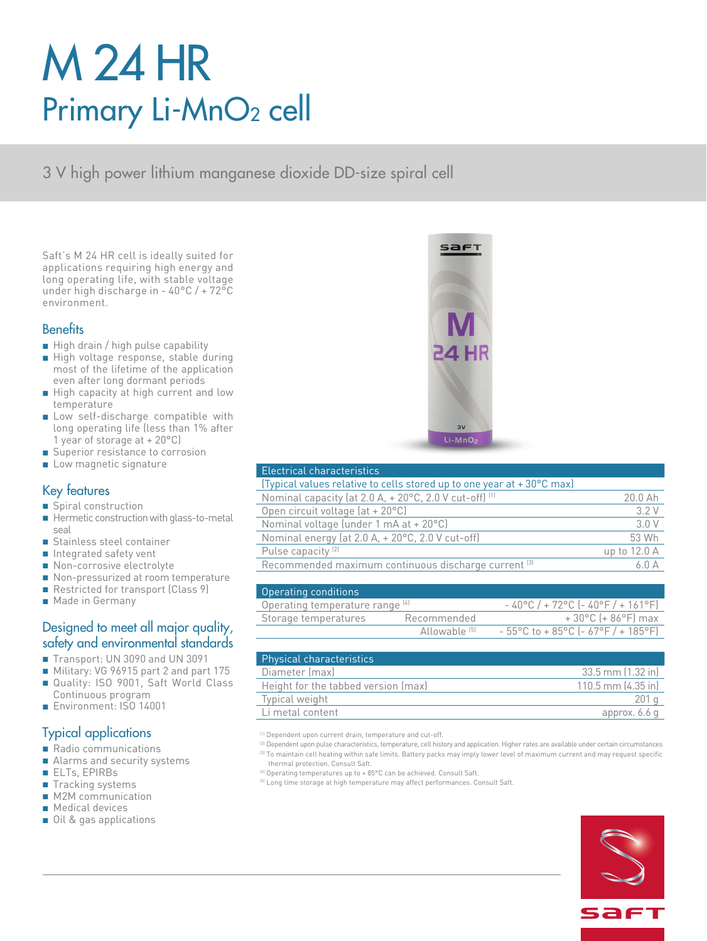# M 24 HR Primary Li-MnO<sub>2</sub> cell

3 V high power lithium manganese dioxide DD-size spiral cell

Saft's M 24 HR cell is ideally suited for applications requiring high energy and long operating life, with stable voltage under high discharge in - 40°C / + 72°C environment.

#### **Benefits**

- High drain / high pulse capability
- High voltage response, stable during most of the lifetime of the application even after long dormant periods
- High capacity at high current and low temperature
- Low self-discharge compatible with long operating life (less than 1% after 1 year of storage at + 20°C)
- Superior resistance to corrosion
- Low magnetic signature

#### Key features

- Spiral construction
- Hermetic construction with glass-to-metal seal
- Stainless steel container
- Integrated safety vent
- Non-corrosive electrolyte
- Non-pressurized at room temperature
- Restricted for transport (Class 9)
- Made in Germany

#### Designed to meet all major quality, safety and environmental standards

- Transport: UN 3090 and UN 3091
- Military: VG 96915 part 2 and part 175
- Quality: ISO 9001, Saft World Class Continuous program
- Environment: ISO 14001

### Typical applications

- Radio communications
- Alarms and security systems
- ELTs, EPIRBs
- Tracking systems
- M2M communication
- Medical devices
- Oil & gas applications



| Electrical characteristics                                            |              |
|-----------------------------------------------------------------------|--------------|
| (Typical values relative to cells stored up to one year at +30°C max) |              |
| Nominal capacity (at 2.0 A, + 20°C, 2.0 V cut-off) <sup>(1)</sup>     | 20.0 Ah      |
| Open circuit voltage (at + 20°C)                                      | 3.2V         |
| Nominal voltage (under 1 mA at + 20°C)                                | 3.0 V        |
| Nominal energy (at 2.0 A, + 20°C, 2.0 V cut-off)                      | 53 Wh        |
| Pulse capacity <sup>(2)</sup>                                         | up to 12.0 A |
| Recommended maximum continuous discharge current [3]                  | 6.0A         |
|                                                                       |              |

| Operating conditions            |                          |                                                                               |
|---------------------------------|--------------------------|-------------------------------------------------------------------------------|
| Operating temperature range [4] |                          | $-40^{\circ}$ C / + 72°C (-40°F / + 161°F)                                    |
| Storage temperatures            | Recommended              | $+30^{\circ}$ C (+ 86 $^{\circ}$ F) max                                       |
|                                 | Allowahle <sup>(5)</sup> | $-55^{\circ}$ C to + 85 $^{\circ}$ C (- 67 $^{\circ}$ F / + 185 $^{\circ}$ F) |

| <b>Physical characteristics</b>     |                        |
|-------------------------------------|------------------------|
| Diameter (max)                      | 33.5 mm (1.32 in)      |
| Height for the tabbed version (max) | $110.5$ mm $(4.35)$ in |
| Typical weight                      | 201q                   |
| Li metal content                    | approx. 6.6 q          |

- (1) Dependent upon current drain, temperature and cut-off.
- <sup>(2)</sup> Dependent upon pulse characteristics, temperature, cell history and application. Higher rates are available under certain circumstances <sup>(3)</sup> To maintain cell heating within safe limits. Battery packs may imply lower level of maximum current and may request specific thermal protection. Consult Saft.
- (4) Operating temperatures up to + 85°C can be achieved. Consult Saft.
- <sup>(5)</sup> Long time storage at high temperature may affect performances. Consult Saft.